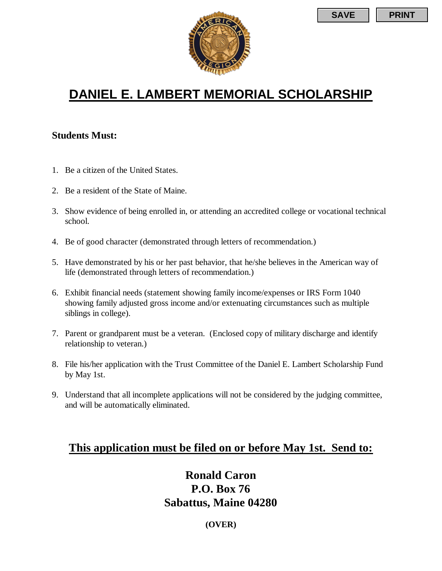

# **DANIEL E. LAMBERT MEMORIAL SCHOLARSHIP**

#### **Students Must:**

- 1. Be a citizen of the United States.
- 2. Be a resident of the State of Maine.
- 3. Show evidence of being enrolled in, or attending an accredited college or vocational technical school.
- 4. Be of good character (demonstrated through letters of recommendation.)
- 5. Have demonstrated by his or her past behavior, that he/she believes in the American way of life (demonstrated through letters of recommendation.)
- 6. Exhibit financial needs (statement showing family income/expenses or IRS Form 1040 showing family adjusted gross income and/or extenuating circumstances such as multiple siblings in college).
- 7. Parent or grandparent must be a veteran. (Enclosed copy of military discharge and identify relationship to veteran.)
- 8. File his/her application with the Trust Committee of the Daniel E. Lambert Scholarship Fund by May 1st.
- 9. Understand that all incomplete applications will not be considered by the judging committee, and will be automatically eliminated.

## **This application must be filed on or before May 1st. Send to:**

### **Ronald Caron P.O. Box 76 Sabattus, Maine 04280**

**(OVER)**